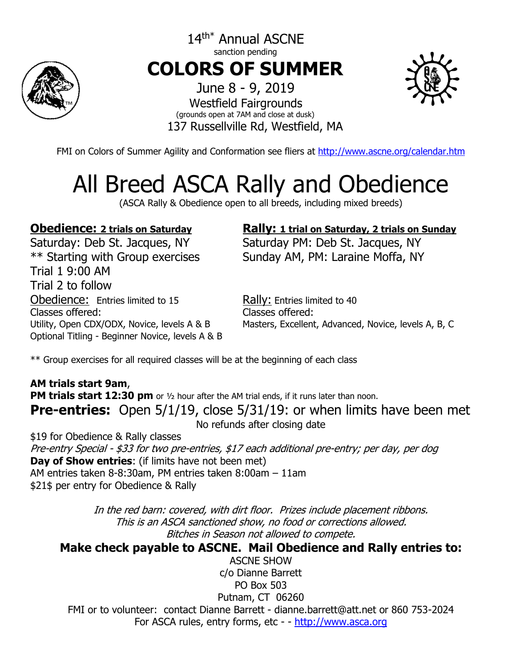

14<sup>th\*</sup> Annual ASCNE sanction pending **COLORS OF SUMMER**



June 8 - 9, 2019 Westfield Fairgrounds (grounds open at 7AM and close at dusk) 137 Russellville Rd, Westfield, MA

FMI on Colors of Summer Agility and Conformation see fliers at http://www.ascne.org/calendar.htm

# All Breed ASCA Rally and Obedience

(ASCA Rally & Obedience open to all breeds, including mixed breeds)

Saturday: Deb St. Jacques, NY Saturday PM: Deb St. Jacques, NY \*\* Starting with Group exercises Sunday AM, PM: Laraine Moffa, NY Trial 1 9:00 AM Trial 2 to follow Obedience: Entries limited to 15 Rally: Entries limited to 40 Classes offered: Classes offered: Optional Titling - Beginner Novice, levels A & B

## **Obedience:** 2 trials on Saturday **Rally: 1 trial on Saturday, 2 trials on Sunday**

Utility, Open CDX/ODX, Novice, levels A & B Masters, Excellent, Advanced, Novice, levels A, B, C

\*\* Group exercises for all required classes will be at the beginning of each class

**AM trials start 9am**, **PM trials start 12:30 pm** or  $\frac{1}{2}$  hour after the AM trial ends, if it runs later than noon. **Pre-entries:** Open 5/1/19, close 5/31/19: or when limits have been met No refunds after closing date

\$19 for Obedience & Rally classes Pre-entry Special - \$33 for two pre-entries, \$17 each additional pre-entry; per day, per dog **Day of Show entries**: (if limits have not been met) AM entries taken 8-8:30am, PM entries taken 8:00am – 11am \$21\$ per entry for Obedience & Rally

> In the red barn: covered, with dirt floor. Prizes include placement ribbons. This is an ASCA sanctioned show, no food or corrections allowed. Bitches in Season not allowed to compete.

**Make check payable to ASCNE. Mail Obedience and Rally entries to:** ASCNE SHOW

c/o Dianne Barrett PO Box 503 Putnam, CT 06260

FMI or to volunteer: contact Dianne Barrett - dianne.barrett@att.net or 860 753-2024 For ASCA rules, entry forms, etc - - http://www.asca.org